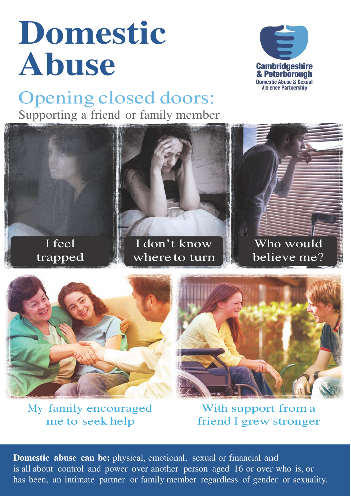# **Domestic Abuse**



### Opening closed doors: Supporting a friend or family member







My family encouraged me to seek help

With support from a friend I grew stronger

**Domestic abuse can be:** physical, emotional, sexual or financial and is all about control and power over another person aged 16 or over who is, or has been, an intimate partner or family member regardless of gender or sexuality.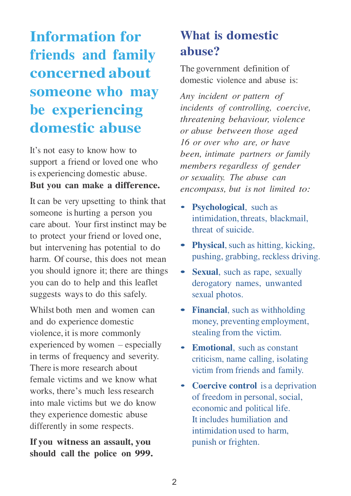## **Information for friends and family concerned about someone who may be experiencing domestic abuse**

It's not easy to know how to support a friend or loved one who is experiencing domestic abuse. **But you can make a difference.**

It can be very upsetting to think that someone is hurting a person you care about. Your first instinct may be to protect your friend or loved one, but intervening has potential to do harm. Of course, this does not mean you should ignore it; there are things you can do to help and this leaflet suggests ways to do this safely.

Whilst both men and women can and do experience domestic violence, it is more commonly experienced by women – especially in terms of frequency and severity. There is more research about female victims and we know what works, there's much less research into male victims but we do know they experience domestic abuse differently in some respects.

#### **If you witness an assault, you should call the police on 999.**

### **What is domestic abuse?**

The government definition of domestic violence and abuse is:

*Any incident or pattern of incidents of controlling, coercive, threatening behaviour, violence or abuse between those aged 16 or over who are, or have been, intimate partners or family members regardless of gender or sexuality. The abuse can encompass, but is not limited to:*

- **Psychological**, such as intimidation, threats, blackmail, threat of suicide.
- **• Physical**, such as hitting, kicking, pushing, grabbing, reckless driving.
- **• Sexual**, such as rape, sexually derogatory names, unwanted sexual photos.
- **• Financial**, such as withholding money, preventing employment, stealing from the victim.
- **Emotional**, such as constant criticism, name calling, isolating victim from friends and family.
- **Coercive control** is a deprivation of freedom in personal, social, economic and political life. It includes humiliation and intimidation used to harm, punish or frighten.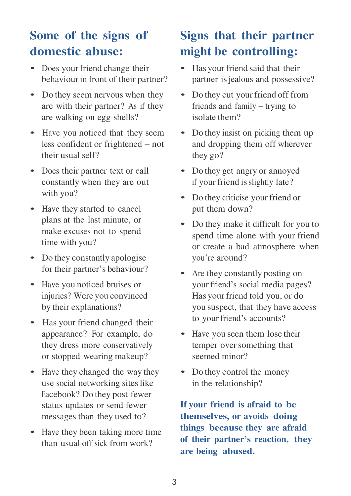### **Some of the signs of domestic abuse:**

- Does your friend change their behaviour in front of their partner?
- Do they seem nervous when they are with their partner? As if they are walking on egg-shells?
- Have you noticed that they seem less confident or frightened – not their usual self?
- Does their partner text or call constantly when they are out with you?
- Have they started to cancel plans at the last minute, or make excuses not to spend time with you?
- Do they constantly apologise for their partner's behaviour?
- Have you noticed bruises or injuries? Were you convinced by their explanations?
- Has your friend changed their appearance? For example, do they dress more conservatively or stopped wearing makeup?
- Have they changed the way they use social networking sites like Facebook? Do they post fewer status updates or send fewer messages than they used to?
- Have they been taking more time than usual off sick from work?

### **Signs that their partner might be controlling:**

- Has your friend said that their partner is jealous and possessive?
- Do they cut your friend off from friends and family – trying to isolate them?
- Do they insist on picking them up and dropping them off wherever they go?
- Do they get angry or annoyed if your friend is slightly late?
- Do they criticise your friend or put them down?
- Do they make it difficult for you to spend time alone with your friend or create a bad atmosphere when you're around?
- Are they constantly posting on your friend's social media pages? Has your friend told you, or do you suspect, that they have access to your friend's accounts?
- Have you seen them lose their temper over something that seemed minor?
- Do they control the money in the relationship?

**If your friend is afraid to be themselves, or avoids doing things because they are afraid of their partner's reaction, they are being abused.**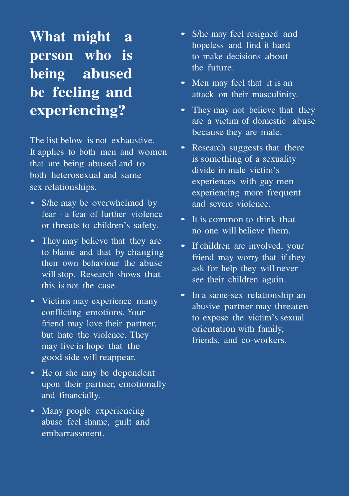## **What might a person who is being abused be feeling and experiencing?**

The list below is not exhaustive. It applies to both men and women that are being abused and to both heterosexual and same sex relationships.

- S/he may be overwhelmed by fear - a fear of further violence or threats to children's safety.
- They may believe that they are to blame and that by changing their own behaviour the abuse will stop. Research shows that this is not the case.
- Victims may experience many conflicting emotions. Your friend may love their partner, but hate the violence. They may live in hope that the good side will reappear.
- He or she may be dependent upon their partner, emotionally and financially.
- Many people experiencing abuse feel shame, guilt and embarrassment.
- S/he may feel resigned and hopeless and find it hard to make decisions about the future.
- Men may feel that it is an attack on their masculinity.
- They may not believe that they are a victim of domestic abuse because they are male.
- Research suggests that there is something of a sexuality divide in male victim's experiences with gay men experiencing more frequent and severe violence.
- It is common to think that no one will believe them.
- If children are involved, your friend may worry that if they ask for help they will never see their children again.
- In a same-sex relationship an abusive partner may threaten to expose the victim's sexual orientation with family, friends, and co-workers.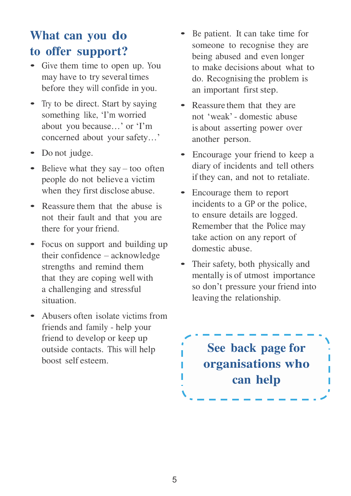### **What can you do to offer support?**

- Give them time to open up. You may have to try several times before they will confide in you.
- Try to be direct. Start by saying something like, 'I'm worried about you because…' or 'I'm concerned about your safety…'
- Do not judge.
- Believe what they say too often people do not believe a victim when they first disclose abuse.
- Reassure them that the abuse is not their fault and that you are there for your friend.
- Focus on support and building up their confidence – acknowledge strengths and remind them that they are coping well with a challenging and stressful situation.
- Abusers often isolate victims from friends and family - help your friend to develop or keep up outside contacts. This will help boost self esteem.
- Be patient. It can take time for someone to recognise they are being abused and even longer to make decisions about what to do. Recognising the problem is an important first step.
- Reassure them that they are not 'weak' - domestic abuse is about asserting power over another person.
- Encourage your friend to keep a diary of incidents and tell others if they can, and not to retaliate.
- Encourage them to report incidents to a GP or the police, to ensure details are logged. Remember that the Police may take action on any report of domestic abuse.
- Their safety, both physically and mentally is of utmost importance so don't pressure your friend into leaving the relationship.

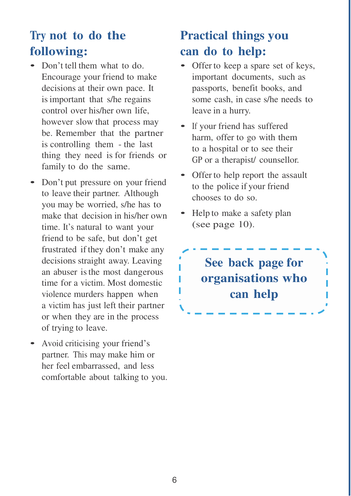### **Try not to do the following:**

- Don't tell them what to do. Encourage your friend to make decisions at their own pace. It is important that s/he regains control over his/her own life, however slow that process may be. Remember that the partner is controlling them - the last thing they need is for friends or family to do the same.
- Don't put pressure on your friend to leave their partner. Although you may be worried, s/he has to make that decision in his/her own time. It's natural to want your friend to be safe, but don't get frustrated if they don't make any decisions straight away. Leaving an abuser is the most dangerous time for a victim. Most domestic violence murders happen when a victim has just left their partner or when they are in the process of trying to leave.
- Avoid criticising your friend'<sup>s</sup> partner. This may make him or her feel embarrassed, and less comfortable about talking to you.

### **Practical things you can do to help:**

- Offer to keep a spare set of keys, important documents, such as passports, benefit books, and some cash, in case s/he needs to leave in a hurry.
- If your friend has suffered harm, offer to go with them to a hospital or to see their GP or a therapist/ counsellor.
- Offer to help report the assault to the police if your friend chooses to do so.
- Help to make a safety plan (see page 10).

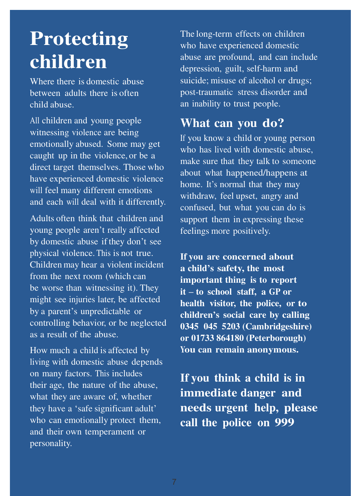# **Protecting children**

Where there is domestic abuse between adults there is often child abuse.

All children and young people witnessing violence are being emotionally abused. Some may get caught up in the violence, or be a direct target themselves. Those who have experienced domestic violence will feel many different emotions and each will deal with it differently.

Adults often think that children and young people aren't really affected by domestic abuse if they don't see physical violence. This is not true. Children may hear a violent incident from the next room (which can be worse than witnessing it). They might see injuries later, be affected by a parent's unpredictable or controlling behavior, or be neglected as a result of the abuse.

How much a child is affected by living with domestic abuse depends on many factors. This includes their age, the nature of the abuse, what they are aware of, whether they have a 'safe significant adult' who can emotionally protect them, and their own temperament or personality.

The long-term effects on children who have experienced domestic abuse are profound, and can include depression, guilt, self-harm and suicide; misuse of alcohol or drugs; post-traumatic stress disorder and an inability to trust people.

#### **What can you do?**

If you know a child or young person who has lived with domestic abuse, make sure that they talk to someone about what happened/happens at home. It's normal that they may withdraw, feel upset, angry and confused, but what you can do is support them in expressing these feelings more positively.

**If you are concerned about a child's safety, the most important thing is to report it – to school staff, a GP or health visitor, the police, or to children's social care by calling 0345 045 5203 (Cambridgeshire) or 01733 864180 (Peterborough) You can remain anonymous.**

**If you think a child is in immediate danger and needs urgent help, please call the police on 999**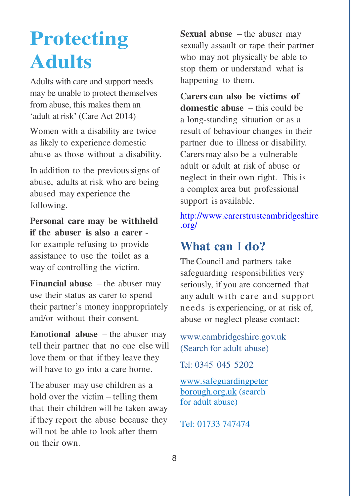# **Protecting Adults**

Adults with care and support needs may be unable to protect themselves from abuse, this makes them an 'adult at risk' (Care Act 2014)

Women with a disability are twice as likely to experience domestic abuse as those without a disability.

In addition to the previous signs of abuse, adults at risk who are being abused may experience the following.

**Personal care may be withheld if the abuser is also a carer** -

for example refusing to provide assistance to use the toilet as a way of controlling the victim.

**Financial abuse**  $-$  the abuser may use their status as carer to spend their partner's money inappropriately and/or without their consent.

**Emotional abuse** – the abuser may tell their partner that no one else will love them or that if they leave they will have to go into a care home.

The abuser may use children as a hold over the victim – telling them that their children will be taken away if they report the abuse because they will not be able to look after them on their own.

**Sexual abuse** – the abuser may sexually assault or rape their partner who may not physically be able to stop them or understand what is happening to them.

**Carers can also be victims of domestic abuse** – this could be a long-standing situation or as a result of behaviour changes in their partner due to illness or disability. Carers may also be a vulnerable adult or adult at risk of abuse or neglect in their own right. This is a complex area but professional support is available.

[http://www.carerstrustcambridgeshire](http://www.carerstrustcambridgeshire.org/) [.org/](http://www.carerstrustcambridgeshire.org/)

#### **What can I do?**

The Council and partners take safeguarding responsibilities very seriously, if you are concerned that any adult with care and support needs is experiencing, or at risk of, abuse or neglect please contact:

[www.cambridgeshire.gov.uk](http://www.cambridgeshire.gov.uk/) (Search for adult abuse)

Tel: 0345 045 5202

[www.safeguardingpeter](http://www.safeguardingpeterborough.org.uk/) [borough.org.uk](http://www.safeguardingpeterborough.org.uk/) (search for adult abuse)

Tel: 01733 747474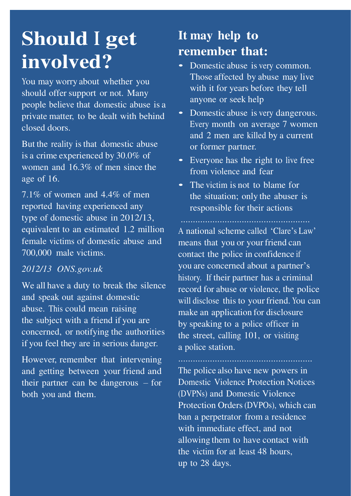# **Should I get involved?**

You may worry about whether you should offer support or not. Many people believe that domestic abuse is a private matter, to be dealt with behind closed doors.

But the reality is that domestic abuse is a crime experienced by 30.0% of women and 16.3% of men since the age of 16.

7.1% of women and 4.4% of men reported having experienced any type of domestic abuse in 2012/13, equivalent to an estimated 1.2 million female victims of domestic abuse and 700,000 male victims.

#### *2012/13 ONS.gov.uk*

We all have a duty to break the silence and speak out against domestic abuse. This could mean raising the subject with a friend if you are concerned, or notifying the authorities if you feel they are in serious danger.

However, remember that intervening and getting between your friend and their partner can be dangerous – for both you and them.

### **It may help to remember that:**

- Domestic abuse is very common. Those affected by abuse may live with it for years before they tell anyone or seek help
- Domestic abuse is very dangerous. Every month on average 7 women and 2 men are killed by a current or former partner.
- Everyone has the right to live free from violence and fear
- The victim is not to blame for the situation; only the abuser is responsible for their actions

A national scheme called 'Clare's Law' means that you or your friend can contact the police in confidence if you are concerned about a partner's history. If their partner has a criminal record for abuse or violence, the police will disclose this to your friend. You can make an application for disclosure by speaking to a police officer in the street, calling 101, or visiting a police station.

The police also have new powers in Domestic Violence Protection Notices (DVPNs) and Domestic Violence Protection Orders (DVPOs), which can ban a perpetrator from a residence with immediate effect, and not allowing them to have contact with the victim for at least 48 hours, up to 28 days.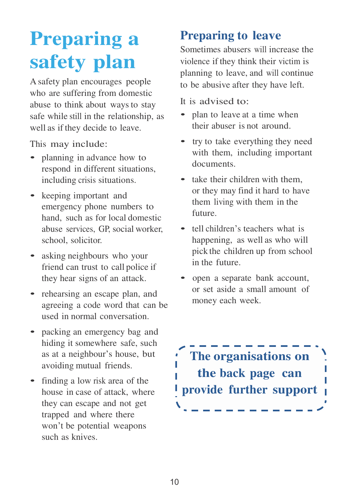# **Preparing a safety plan**

A safety plan encourages people who are suffering from domestic abuse to think about ways to stay safe while still in the relationship, as well as if they decide to leave.

This may include:

- planning in advance how to respond in different situations, including crisis situations.
- keeping important and emergency phone numbers to hand, such as for local domestic abuse services, GP, social worker, school, solicitor.
- asking neighbours who your friend can trust to call police if they hear signs of an attack.
- rehearsing an escape plan, and agreeing a code word that can be used in normal conversation.
- packing an emergency bag and hiding it somewhere safe, such as at a neighbour's house, but avoiding mutual friends.
- finding a low risk area of the house in case of attack, where they can escape and not get trapped and where there won't be potential weapons such as knives.

#### **Preparing to leave**

Sometimes abusers will increase the violence if they think their victim is planning to leave, and will continue to be abusive after they have left.

- It is advised to:
- plan to leave at a time when their abuser is not around.
- try to take everything they need with them, including important documents.
- take their children with them. or they may find it hard to have them living with them in the future.
- tell children's teachers what is happening, as well as who will pick the children up from school in the future.
- open a separate bank account, or set aside a small amount of money each week.

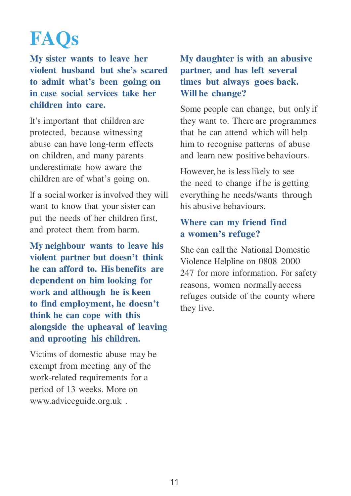# **FAQs**

**My sister wants to leave her violent husband but she's scared to admit what's been going on in case social services take her children into care.**

It's important that children are protected, because witnessing abuse can have long-term effects on children, and many parents underestimate how aware the children are of what's going on.

If a social worker is involved they will want to know that your sister can put the needs of her children first, and protect them from harm.

**My neighbour wants to leave his violent partner but doesn't think he can afford to. His benefits are dependent on him looking for work and although he is keen to find employment, he doesn't think he can cope with this alongside the upheaval of leaving and uprooting his children.**

Victims of domestic abuse may be exempt from meeting any of the work-related requirements for a period of 13 weeks. More on [www.adviceguide.org.uk](http://www.adviceguide.org.uk/) .

#### **My daughter is with an abusive partner, and has left several times but always goes back. Will he change?**

Some people can change, but only if they want to. There are programmes that he can attend which will help him to recognise patterns of abuse and learn new positive behaviours.

However, he is less likely to see the need to change if he is getting everything he needs/wants through his abusive behaviours.

#### **Where can my friend find a women's refuge?**

She can call the National Domestic Violence Helpline on 0808 2000 247 for more information. For safety reasons, women normally access refuges outside of the county where they live.